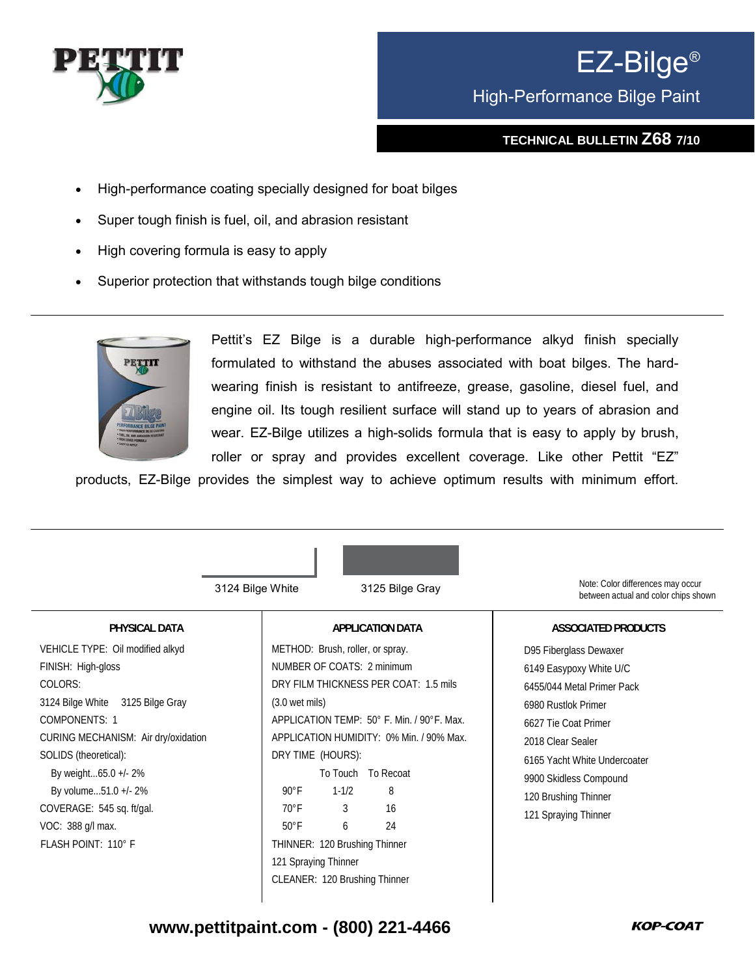

## EZ-Bilge® High-Performance Bilge Paint

## **TECHNICAL BULLETIN Z68 7/10**

- High-performance coating specially designed for boat bilges
- Super tough finish is fuel, oil, and abrasion resistant
- High covering formula is easy to apply
- Superior protection that withstands tough bilge conditions



Pettit's EZ Bilge is a durable high-performance alkyd finish specially formulated to withstand the abuses associated with boat bilges. The hardwearing finish is resistant to antifreeze, grease, gasoline, diesel fuel, and engine oil. Its tough resilient surface will stand up to years of abrasion and wear. EZ-Bilge utilizes a high-solids formula that is easy to apply by brush, roller or spray and provides excellent coverage. Like other Pettit "EZ"

products, EZ-Bilge provides the simplest way to achieve optimum results with minimum effort.

| Note: Color differences may occur                                                                                                                                                                                                                                                                                                                                                                |
|--------------------------------------------------------------------------------------------------------------------------------------------------------------------------------------------------------------------------------------------------------------------------------------------------------------------------------------------------------------------------------------------------|
| between actual and color chips shown                                                                                                                                                                                                                                                                                                                                                             |
| <b>ASSOCIATED PRODUCTS</b>                                                                                                                                                                                                                                                                                                                                                                       |
| D95 Fiberglass Dewaxer<br>6149 Easypoxy White U/C<br>DRY FILM THICKNESS PER COAT: 1.5 mils<br>6455/044 Metal Primer Pack<br>6980 Rustlok Primer<br>APPLICATION TEMP: 50° F. Min. / 90°F. Max.<br>6627 Tie Coat Primer<br>APPLICATION HUMIDITY: 0% Min. / 90% Max.<br>2018 Clear Sealer<br>6165 Yacht White Undercoater<br>9900 Skidless Compound<br>120 Brushing Thinner<br>121 Spraying Thinner |
|                                                                                                                                                                                                                                                                                                                                                                                                  |